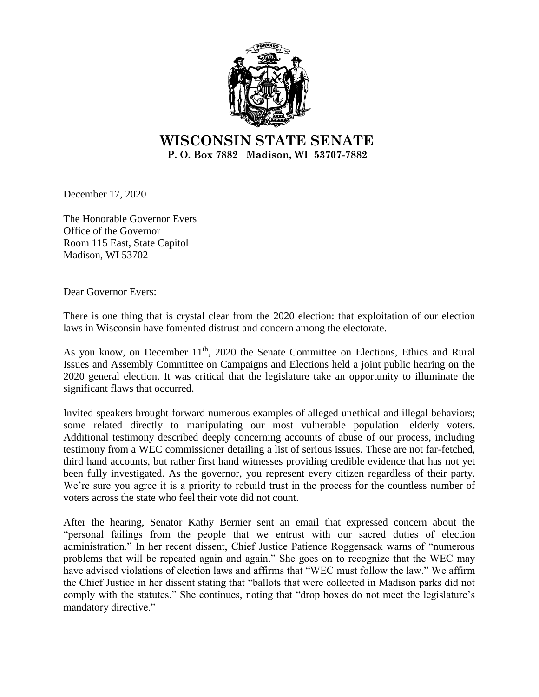

**WISCONSIN STATE SENATE P. O. Box 7882 Madison, WI 53707-7882**

December 17, 2020

The Honorable Governor Evers Office of the Governor Room 115 East, State Capitol Madison, WI 53702

Dear Governor Evers:

There is one thing that is crystal clear from the 2020 election: that exploitation of our election laws in Wisconsin have fomented distrust and concern among the electorate.

As you know, on December 11<sup>th</sup>, 2020 the Senate Committee on Elections, Ethics and Rural Issues and Assembly Committee on Campaigns and Elections held a joint public hearing on the 2020 general election. It was critical that the legislature take an opportunity to illuminate the significant flaws that occurred.

Invited speakers brought forward numerous examples of alleged unethical and illegal behaviors; some related directly to manipulating our most vulnerable population—elderly voters. Additional testimony described deeply concerning accounts of abuse of our process, including testimony from a WEC commissioner detailing a list of serious issues. These are not far-fetched, third hand accounts, but rather first hand witnesses providing credible evidence that has not yet been fully investigated. As the governor, you represent every citizen regardless of their party. We're sure you agree it is a priority to rebuild trust in the process for the countless number of voters across the state who feel their vote did not count.

After the hearing, Senator Kathy Bernier sent an email that expressed concern about the "personal failings from the people that we entrust with our sacred duties of election administration." In her recent dissent, Chief Justice Patience Roggensack warns of "numerous problems that will be repeated again and again." She goes on to recognize that the WEC may have advised violations of election laws and affirms that "WEC must follow the law." We affirm the Chief Justice in her dissent stating that "ballots that were collected in Madison parks did not comply with the statutes." She continues, noting that "drop boxes do not meet the legislature's mandatory directive."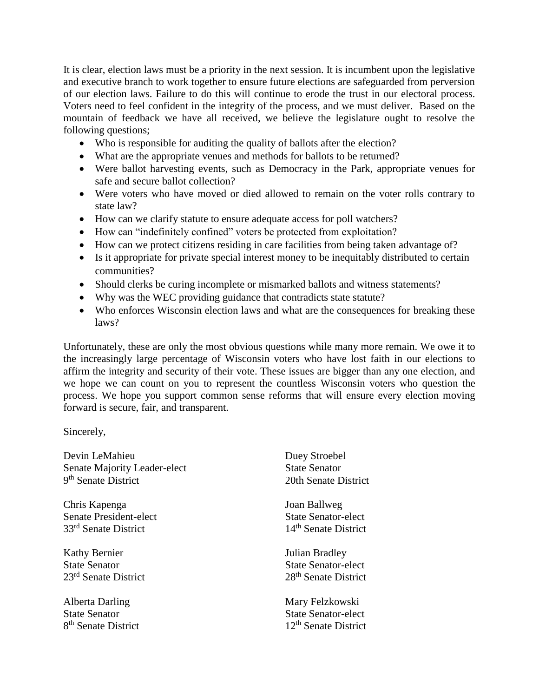It is clear, election laws must be a priority in the next session. It is incumbent upon the legislative and executive branch to work together to ensure future elections are safeguarded from perversion of our election laws. Failure to do this will continue to erode the trust in our electoral process. Voters need to feel confident in the integrity of the process, and we must deliver. Based on the mountain of feedback we have all received, we believe the legislature ought to resolve the following questions;

- Who is responsible for auditing the quality of ballots after the election?
- What are the appropriate venues and methods for ballots to be returned?
- Were ballot harvesting events, such as Democracy in the Park, appropriate venues for safe and secure ballot collection?
- Were voters who have moved or died allowed to remain on the voter rolls contrary to state law?
- How can we clarify statute to ensure adequate access for poll watchers?
- How can "indefinitely confined" voters be protected from exploitation?
- How can we protect citizens residing in care facilities from being taken advantage of?
- Is it appropriate for private special interest money to be inequitably distributed to certain communities?
- Should clerks be curing incomplete or mismarked ballots and witness statements?
- Why was the WEC providing guidance that contradicts state statute?
- Who enforces Wisconsin election laws and what are the consequences for breaking these laws?

Unfortunately, these are only the most obvious questions while many more remain. We owe it to the increasingly large percentage of Wisconsin voters who have lost faith in our elections to affirm the integrity and security of their vote. These issues are bigger than any one election, and we hope we can count on you to represent the countless Wisconsin voters who question the process. We hope you support common sense reforms that will ensure every election moving forward is secure, fair, and transparent.

Sincerely,

Devin LeMahieu Senate Majority Leader-elect 9<sup>th</sup> Senate District

Chris Kapenga Senate President-elect 33rd Senate District

Kathy Bernier State Senator 23rd Senate District

Alberta Darling State Senator 8<sup>th</sup> Senate District Duey Stroebel State Senator 20th Senate District

Joan Ballweg State Senator-elect 14th Senate District

Julian Bradley State Senator-elect 28<sup>th</sup> Senate District

Mary Felzkowski State Senator-elect 12<sup>th</sup> Senate District